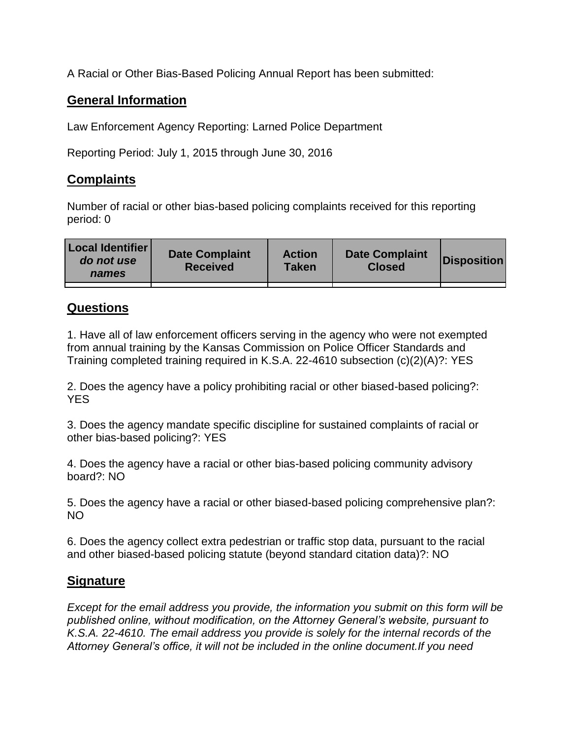A Racial or Other Bias-Based Policing Annual Report has been submitted:

## **General Information**

Law Enforcement Agency Reporting: Larned Police Department

Reporting Period: July 1, 2015 through June 30, 2016

## **Complaints**

Number of racial or other bias-based policing complaints received for this reporting period: 0

| <b>Local Identifier</b><br>do not use<br>names | <b>Date Complaint</b><br><b>Received</b> | <b>Action</b><br><b>Taken</b> | <b>Date Complaint</b><br><b>Closed</b> | Disposition |
|------------------------------------------------|------------------------------------------|-------------------------------|----------------------------------------|-------------|
|                                                |                                          |                               |                                        |             |

## **Questions**

1. Have all of law enforcement officers serving in the agency who were not exempted from annual training by the Kansas Commission on Police Officer Standards and Training completed training required in K.S.A. 22-4610 subsection (c)(2)(A)?: YES

2. Does the agency have a policy prohibiting racial or other biased-based policing?: YES

3. Does the agency mandate specific discipline for sustained complaints of racial or other bias-based policing?: YES

4. Does the agency have a racial or other bias-based policing community advisory board?: NO

5. Does the agency have a racial or other biased-based policing comprehensive plan?: NO

6. Does the agency collect extra pedestrian or traffic stop data, pursuant to the racial and other biased-based policing statute (beyond standard citation data)?: NO

## **Signature**

*Except for the email address you provide, the information you submit on this form will be published online, without modification, on the Attorney General's website, pursuant to K.S.A. 22-4610. The email address you provide is solely for the internal records of the Attorney General's office, it will not be included in the online document.If you need*